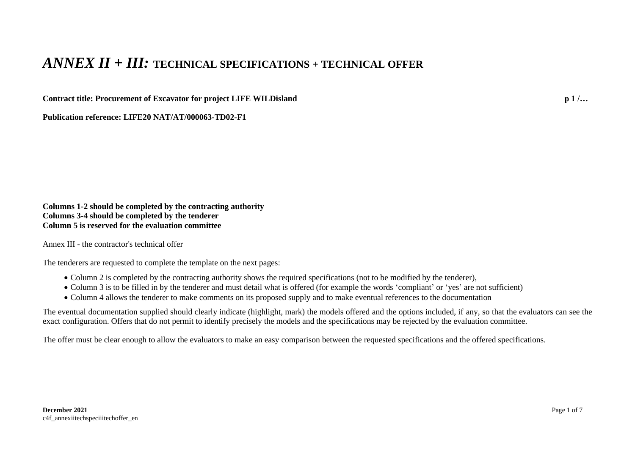## *ANNEX II + III:* **TECHNICAL SPECIFICATIONS + TECHNICAL OFFER**

**Contract title: Procurement of Excavator for project LIFE WILDisland p 1 /…**

**Publication reference: LIFE20 NAT/AT/000063-TD02-F1**

**Columns 1-2 should be completed by the contracting authority Columns 3-4 should be completed by the tenderer Column 5 is reserved for the evaluation committee**

Annex III - the contractor's technical offer

The tenderers are requested to complete the template on the next pages:

- Column 2 is completed by the contracting authority shows the required specifications (not to be modified by the tenderer),
- Column 3 is to be filled in by the tenderer and must detail what is offered (for example the words 'compliant' or 'yes' are not sufficient)
- Column 4 allows the tenderer to make comments on its proposed supply and to make eventual references to the documentation

The eventual documentation supplied should clearly indicate (highlight, mark) the models offered and the options included, if any, so that the evaluators can see the exact configuration. Offers that do not permit to identify precisely the models and the specifications may be rejected by the evaluation committee.

The offer must be clear enough to allow the evaluators to make an easy comparison between the requested specifications and the offered specifications.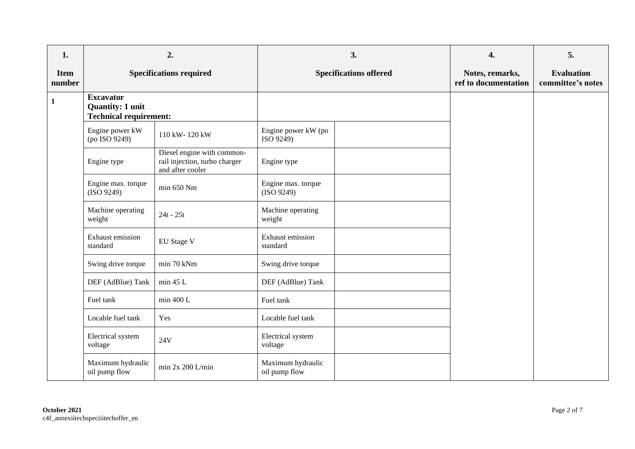| 1.                    | 2.                                                                           |                                                                                 |                                    | 3.                            | 4.                                      | 5.                                     |
|-----------------------|------------------------------------------------------------------------------|---------------------------------------------------------------------------------|------------------------------------|-------------------------------|-----------------------------------------|----------------------------------------|
| <b>Item</b><br>number | <b>Specifications required</b>                                               |                                                                                 |                                    | <b>Specifications offered</b> | Notes, remarks,<br>ref to documentation | <b>Evaluation</b><br>committee's notes |
| $\mathbf{1}$          | <b>Excavator</b><br><b>Quantity: 1 unit</b><br><b>Technical requirement:</b> |                                                                                 |                                    |                               |                                         |                                        |
|                       | Engine power kW<br>(po ISO 9249)                                             | 110 kW-120 kW                                                                   | Engine power kW (po<br>ISO 9249)   |                               |                                         |                                        |
|                       | Engine type                                                                  | Diesel engine with common-<br>rail injection, turbo charger<br>and after cooler | Engine type                        |                               |                                         |                                        |
|                       | Engine max. torque<br>(ISO 9249)                                             | min 650 Nm                                                                      | Engine max. torque<br>(ISO 9249)   |                               |                                         |                                        |
|                       | Machine operating<br>weight                                                  | $24t - 25t$                                                                     | Machine operating<br>weight        |                               |                                         |                                        |
|                       | Exhaust emission<br>standard                                                 | EU Stage V                                                                      | Exhaust emission<br>standard       |                               |                                         |                                        |
|                       | Swing drive torque                                                           | min 70 kNm                                                                      | Swing drive torque                 |                               |                                         |                                        |
|                       | DEF (AdBlue) Tank                                                            | min 45 L                                                                        | DEF (AdBlue) Tank                  |                               |                                         |                                        |
|                       | Fuel tank                                                                    | min 400 L                                                                       | Fuel tank                          |                               |                                         |                                        |
|                       | Locable fuel tank                                                            | Yes                                                                             | Locable fuel tank                  |                               |                                         |                                        |
|                       | Electrical system<br>voltage                                                 | 24V                                                                             | Electrical system<br>voltage       |                               |                                         |                                        |
|                       | Maximum hydraulic<br>oil pump flow                                           | min $2x 200$ L/min                                                              | Maximum hydraulic<br>oil pump flow |                               |                                         |                                        |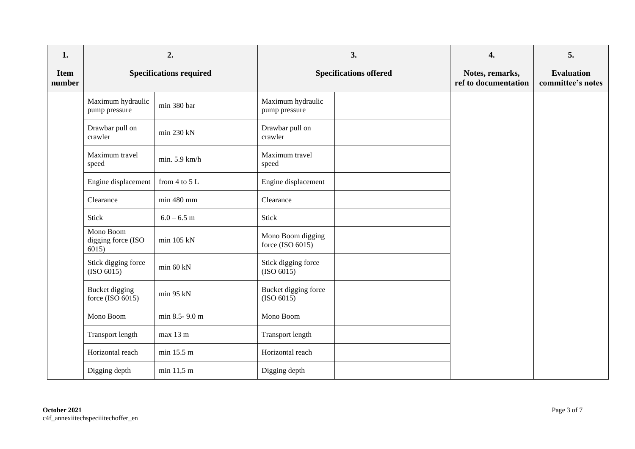| 1.                    |                                          | 2.                             |                                       | 3.                            | 4.                                      | 5.                                     |
|-----------------------|------------------------------------------|--------------------------------|---------------------------------------|-------------------------------|-----------------------------------------|----------------------------------------|
| <b>Item</b><br>number |                                          | <b>Specifications required</b> |                                       | <b>Specifications offered</b> | Notes, remarks,<br>ref to documentation | <b>Evaluation</b><br>committee's notes |
|                       | Maximum hydraulic<br>pump pressure       | min 380 bar                    | Maximum hydraulic<br>pump pressure    |                               |                                         |                                        |
|                       | Drawbar pull on<br>crawler               | min 230 kN                     | Drawbar pull on<br>crawler            |                               |                                         |                                        |
|                       | Maximum travel<br>speed                  | min. 5.9 km/h                  | Maximum travel<br>speed               |                               |                                         |                                        |
|                       | Engine displacement                      | from $4$ to $5$ L              | Engine displacement                   |                               |                                         |                                        |
|                       | Clearance                                | min 480 mm                     | Clearance                             |                               |                                         |                                        |
|                       | Stick                                    | $6.0 - 6.5$ m                  | Stick                                 |                               |                                         |                                        |
|                       | Mono Boom<br>digging force (ISO<br>6015) | $min$ 105 kN                   | Mono Boom digging<br>force (ISO 6015) |                               |                                         |                                        |
|                       | Stick digging force<br>(ISO 6015)        | min 60 kN                      | Stick digging force<br>(ISO 6015)     |                               |                                         |                                        |
|                       | Bucket digging<br>force (ISO $6015$ )    | min 95 kN                      | Bucket digging force<br>(ISO 6015)    |                               |                                         |                                        |
|                       | Mono Boom                                | min 8.5-9.0 m                  | Mono Boom                             |                               |                                         |                                        |
|                       | Transport length                         | max 13 m                       | Transport length                      |                               |                                         |                                        |
|                       | Horizontal reach                         | min 15.5 m                     | Horizontal reach                      |                               |                                         |                                        |
|                       | Digging depth                            | min 11,5 m                     | Digging depth                         |                               |                                         |                                        |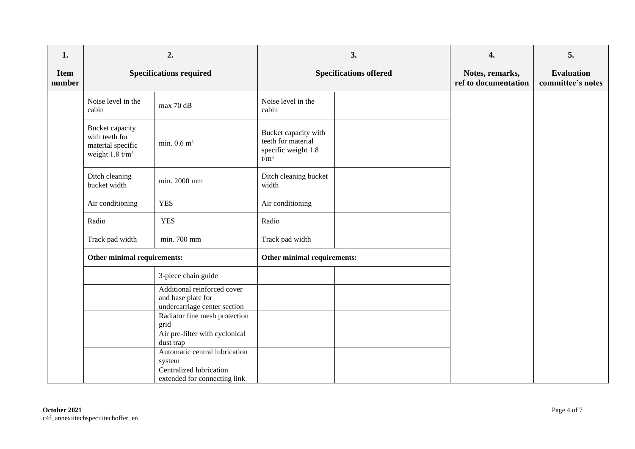| 1.                    |                                                                                      | 2.                                                                                |                                                                              | 3. | 4.                                      | 5.                                     |
|-----------------------|--------------------------------------------------------------------------------------|-----------------------------------------------------------------------------------|------------------------------------------------------------------------------|----|-----------------------------------------|----------------------------------------|
| <b>Item</b><br>number | <b>Specifications required</b>                                                       |                                                                                   | <b>Specifications offered</b>                                                |    | Notes, remarks,<br>ref to documentation | <b>Evaluation</b><br>committee's notes |
|                       | Noise level in the<br>cabin                                                          | max 70 dB                                                                         | Noise level in the<br>cabin                                                  |    |                                         |                                        |
|                       | Bucket capacity<br>with teeth for<br>material specific<br>weight $1.8 \text{ t/m}^3$ | min. $0.6$ m <sup>3</sup>                                                         | Bucket capacity with<br>teeth for material<br>specific weight 1.8<br>$t/m^3$ |    |                                         |                                        |
|                       | Ditch cleaning<br>bucket width                                                       | min. 2000 mm                                                                      | Ditch cleaning bucket<br>width                                               |    |                                         |                                        |
|                       | Air conditioning                                                                     | <b>YES</b>                                                                        | Air conditioning                                                             |    |                                         |                                        |
|                       | Radio                                                                                | <b>YES</b>                                                                        | Radio                                                                        |    |                                         |                                        |
|                       | Track pad width                                                                      | min. 700 mm                                                                       | Track pad width                                                              |    |                                         |                                        |
|                       | Other minimal requirements:                                                          |                                                                                   | Other minimal requirements:                                                  |    |                                         |                                        |
|                       |                                                                                      | 3-piece chain guide                                                               |                                                                              |    |                                         |                                        |
|                       |                                                                                      | Additional reinforced cover<br>and base plate for<br>undercarriage center section |                                                                              |    |                                         |                                        |
|                       |                                                                                      | Radiator fine mesh protection<br>grid                                             |                                                                              |    |                                         |                                        |
|                       |                                                                                      | Air pre-filter with cyclonical<br>dust trap                                       |                                                                              |    |                                         |                                        |
|                       |                                                                                      | Automatic central lubrication<br>system                                           |                                                                              |    |                                         |                                        |
|                       |                                                                                      | Centralized lubrication<br>extended for connecting link                           |                                                                              |    |                                         |                                        |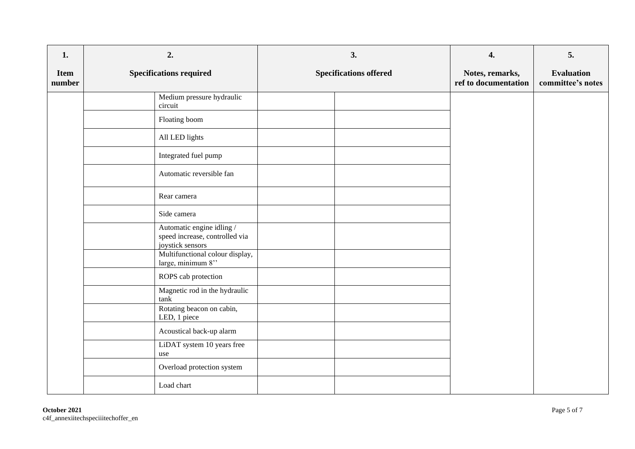| 1.                    | 2.                                                                              | 3.                            | 4.                                      | 5.                                     |
|-----------------------|---------------------------------------------------------------------------------|-------------------------------|-----------------------------------------|----------------------------------------|
| <b>Item</b><br>number | <b>Specifications required</b>                                                  | <b>Specifications offered</b> | Notes, remarks,<br>ref to documentation | <b>Evaluation</b><br>committee's notes |
|                       | Medium pressure hydraulic<br>circuit                                            |                               |                                         |                                        |
|                       | Floating boom                                                                   |                               |                                         |                                        |
|                       | All LED lights                                                                  |                               |                                         |                                        |
|                       | Integrated fuel pump                                                            |                               |                                         |                                        |
|                       | Automatic reversible fan                                                        |                               |                                         |                                        |
|                       | Rear camera                                                                     |                               |                                         |                                        |
|                       | Side camera                                                                     |                               |                                         |                                        |
|                       | Automatic engine idling /<br>speed increase, controlled via<br>joystick sensors |                               |                                         |                                        |
|                       | Multifunctional colour display,<br>large, minimum 8"                            |                               |                                         |                                        |
|                       | ROPS cab protection                                                             |                               |                                         |                                        |
|                       | Magnetic rod in the hydraulic<br>tank                                           |                               |                                         |                                        |
|                       | Rotating beacon on cabin,<br>LED, 1 piece                                       |                               |                                         |                                        |
|                       | Acoustical back-up alarm                                                        |                               |                                         |                                        |
|                       | LiDAT system 10 years free<br>use                                               |                               |                                         |                                        |
|                       | Overload protection system                                                      |                               |                                         |                                        |
|                       | Load chart                                                                      |                               |                                         |                                        |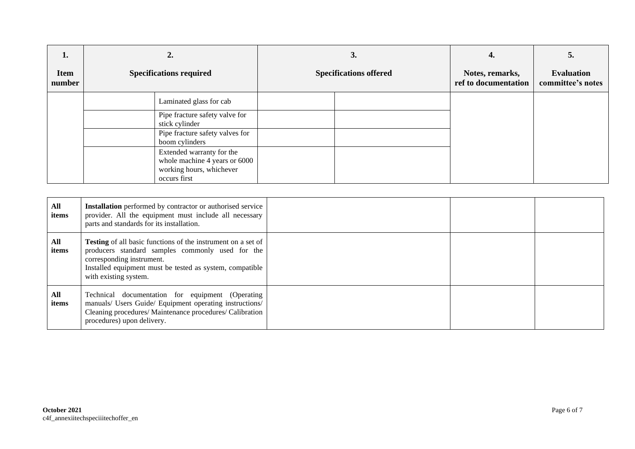| ı.<br><b>Item</b> | 2.<br><b>Specifications required</b>                                                                   | 3.<br><b>Specifications offered</b> | 4.<br>Notes, remarks, | э.<br><b>Evaluation</b> |
|-------------------|--------------------------------------------------------------------------------------------------------|-------------------------------------|-----------------------|-------------------------|
| number            |                                                                                                        |                                     | ref to documentation  | committee's notes       |
|                   | Laminated glass for cab                                                                                |                                     |                       |                         |
|                   | Pipe fracture safety valve for<br>stick cylinder                                                       |                                     |                       |                         |
|                   | Pipe fracture safety valves for<br>boom cylinders                                                      |                                     |                       |                         |
|                   | Extended warranty for the<br>whole machine 4 years or 6000<br>working hours, whichever<br>occurs first |                                     |                       |                         |

| All<br>items | <b>Installation</b> performed by contractor or authorised service<br>provider. All the equipment must include all necessary<br>parts and standards for its installation.                                                                  |  |  |
|--------------|-------------------------------------------------------------------------------------------------------------------------------------------------------------------------------------------------------------------------------------------|--|--|
| All<br>items | <b>Testing</b> of all basic functions of the instrument on a set of<br>producers standard samples commonly used for the<br>corresponding instrument.<br>Installed equipment must be tested as system, compatible<br>with existing system. |  |  |
| All<br>items | Technical documentation for equipment (Operating<br>manuals/ Users Guide/ Equipment operating instructions/<br>Cleaning procedures/ Maintenance procedures/ Calibration<br>procedures) upon delivery.                                     |  |  |